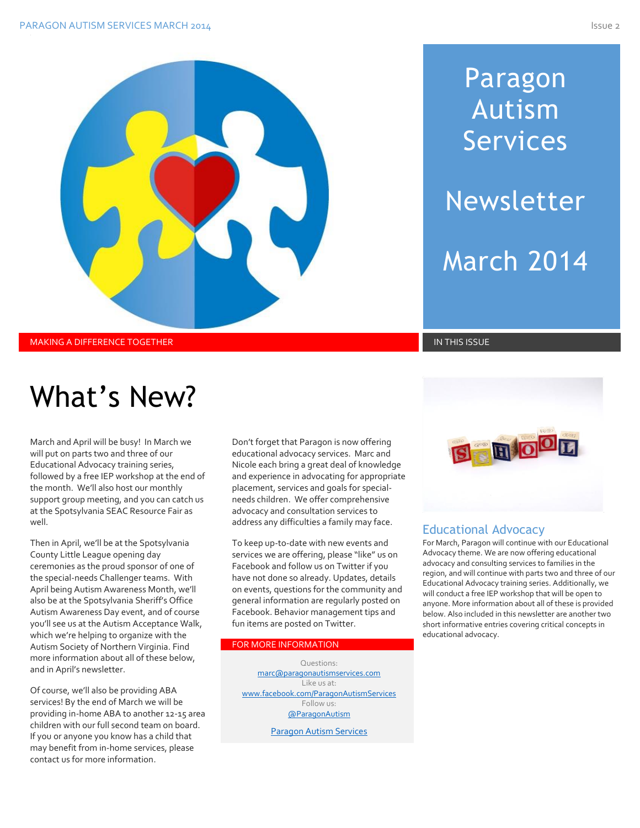# Paragon Autism Services Newsletter

March 2014

MAKING A DIFFERENCE TOGETHER IN THIS ISSUE IN THIS ISSUE IN THIS ISSUE IN THIS ISSUE IN THIS ISSUE

# What's New?

March and April will be busy! In March we will put on parts two and three of our Educational Advocacy training series, followed by a free IEP workshop at the end of the month. We'll also host our monthly support group meeting, and you can catch us at the Spotsylvania SEAC Resource Fair as well.

Then in April, we'll be at the Spotsylvania County Little League opening day ceremonies as the proud sponsor of one of the special-needs Challenger teams. With April being Autism Awareness Month, we'll also be at the Spotsylvania Sheriff's Office Autism Awareness Day event, and of course you'll see us at the Autism Acceptance Walk, which we're helping to organize with the Autism Society of Northern Virginia. Find more information about all of these below, and in April's newsletter.

Of course, we'll also be providing ABA services! By the end of March we will be providing in-home ABA to another 12-15 area children with our full second team on board. If you or anyone you know has a child that may benefit from in-home services, please contact us for more information.

Don't forget that Paragon is now offering educational advocacy services. Marc and Nicole each bring a great deal of knowledge and experience in advocating for appropriate placement, services and goals for specialneeds children. We offer comprehensive advocacy and consultation services to address any difficulties a family may face.

To keep up-to-date with new events and services we are offering, please "like" us on Facebook and follow us on Twitter if you have not done so already. Updates, details on events, questions for the community and general information are regularly posted on Facebook. Behavior management tips and fun items are posted on Twitter.

#### FOR MORE INFORMATION

Questions: [marc@paragonautismservices.com](mailto:marc@paragonautismservices.com)  Like us at: [www.facebook.com/ParagonAutismServices](http://www.facebook.com/ParagonAutismServices)  Follow us: [@ParagonAutism](https://twitter.com/ParagonAutism)

[Paragon Autism Services](http://paragonautismservices.com/)



#### Educational Advocacy

For March, Paragon will continue with our Educational Advocacy theme. We are now offering educational advocacy and consulting services to families in the region, and will continue with parts two and three of our Educational Advocacy training series. Additionally, we will conduct a free IEP workshop that will be open to anyone. More information about all of these is provided below. Also included in this newsletter are another two short informative entries covering critical concepts in educational advocacy.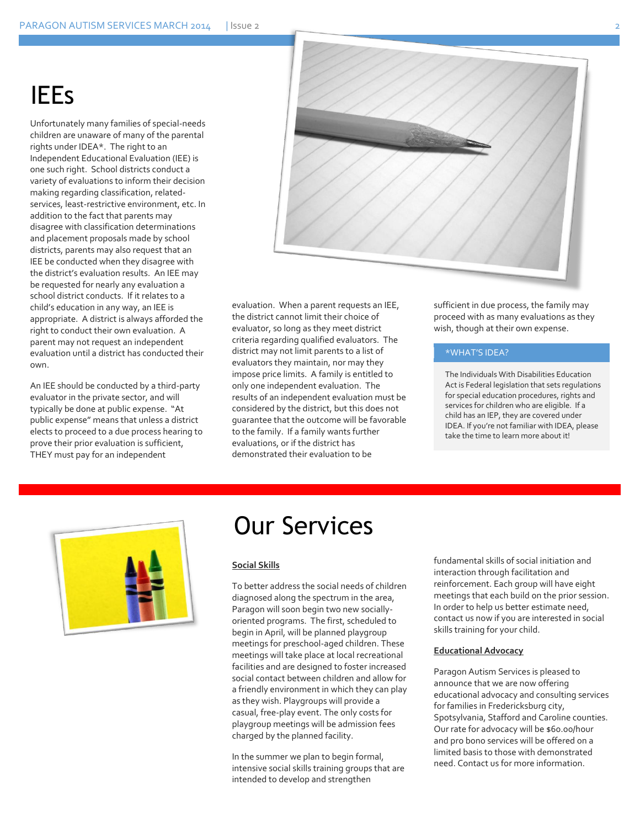### IEEs

Unfortunately many families of special-needs children are unaware of many of the parental rights under IDEA\*. The right to an Independent Educational Evaluation (IEE) is one such right. School districts conduct a variety of evaluations to inform their decision making regarding classification, relatedservices, least-restrictive environment, etc. In addition to the fact that parents may disagree with classification determinations and placement proposals made by school districts, parents may also request that an IEE be conducted when they disagree with the district's evaluation results. An IEE may be requested for nearly any evaluation a school district conducts. If it relates to a child's education in any way, an IEE is appropriate. A district is always afforded the right to conduct their own evaluation. A parent may not request an independent evaluation until a district has conducted their own.

An IEE should be conducted by a third-party evaluator in the private sector, and will typically be done at public expense. "At public expense" means that unless a district elects to proceed to a due process hearing to prove their prior evaluation is sufficient, THEY must pay for an independent



evaluation. When a parent requests an IEE, the district cannot limit their choice of evaluator, so long as they meet district criteria regarding qualified evaluators. The district may not limit parents to a list of evaluators they maintain, nor may they impose price limits. A family is entitled to only one independent evaluation. The results of an independent evaluation must be considered by the district, but this does not guarantee that the outcome will be favorable to the family. If a family wants further evaluations, or if the district has demonstrated their evaluation to be

sufficient in due process, the family may proceed with as many evaluations as they wish, though at their own expense.

#### \*WHAT'S IDEA?

The Individuals With Disabilities Education Act is Federal legislation that sets regulations for special education procedures, rights and services for children who are eligible. If a child has an IEP, they are covered under IDEA. If you're not familiar with IDEA, please take the time to learn more about it!



### Our Services

#### **Social Skills**

To better address the social needs of children diagnosed along the spectrum in the area, Paragon will soon begin two new sociallyoriented programs. The first, scheduled to begin in April, will be planned playgroup meetings for preschool-aged children. These meetings will take place at local recreational facilities and are designed to foster increased social contact between children and allow for a friendly environment in which they can play as they wish. Playgroups will provide a casual, free-play event. The only costs for playgroup meetings will be admission fees charged by the planned facility.

In the summer we plan to begin formal, intensive social skills training groups that are intended to develop and strengthen

fundamental skills of social initiation and interaction through facilitation and reinforcement. Each group will have eight meetings that each build on the prior session. In order to help us better estimate need, contact us now if you are interested in social skills training for your child.

#### **Educational Advocacy**

Paragon Autism Services is pleased to announce that we are now offering educational advocacy and consulting services for families in Fredericksburg city, Spotsylvania, Stafford and Caroline counties. Our rate for advocacy will be \$60.00/hour and pro bono services will be offered on a limited basis to those with demonstrated need. Contact us for more information.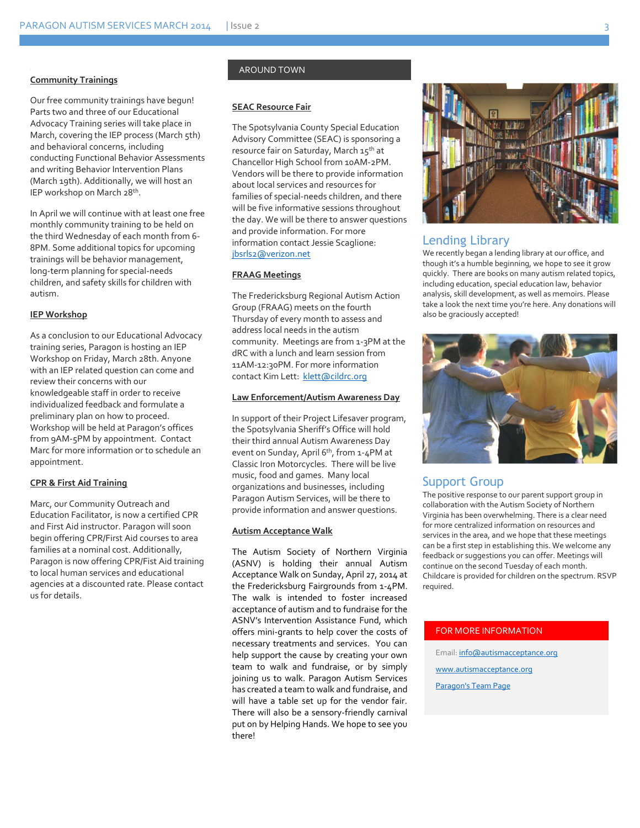#### **Community Trainings**

Our free community trainings have begun! Parts two and three of our Educational Advocacy Training series will take place in March, covering the IEP process (March 5th) and behavioral concerns, including conducting Functional Behavior Assessments and writing Behavior Intervention Plans (March 19th). Additionally, we will host an IEP workshop on March 28th .

In April we will continue with at least one free monthly community training to be held on the third Wednesday of each month from 6- 8PM. Some additional topics for upcoming trainings will be behavior management, long-term planning for special-needs children, and safety skills for children with autism.

#### **IEP Workshop**

As a conclusion to our Educational Advocacy training series, Paragon is hosting an IEP Workshop on Friday, March 28th. Anyone with an IEP related question can come and review their concerns with our knowledgeable staff in order to receive individualized feedback and formulate a preliminary plan on how to proceed. Workshop will be held at Paragon's offices from 9AM-5PM by appointment. Contact Marc for more information or to schedule an appointment.

#### **CPR & First Aid Training**

Marc, our Community Outreach and Education Facilitator, is now a certified CPR and First Aid instructor. Paragon will soon begin offering CPR/First Aid courses to area families at a nominal cost. Additionally, Paragon is now offering CPR/Fist Aid training to local human services and educational agencies at a discounted rate. Please contact us for details.

#### AROUND TOWN

#### **SEAC Resource Fair**

The Spotsylvania County Special Education Advisory Committee (SEAC) is sponsoring a resource fair on Saturday, March 15th at Chancellor High School from 10AM-2PM. Vendors will be there to provide information about local services and resources for families of special-needs children, and there will be five informative sessions throughout the day. We will be there to answer questions and provide information. For more information contact Jessie Scaglione: [jbsrls2@verizon.net](mailto:jbsrls2@verizon.net)

#### **FRAAG Meetings**

The Fredericksburg Regional Autism Action Group (FRAAG) meets on the fourth Thursday of every month to assess and address local needs in the autism community. Meetings are from 1-3PM at the dRC with a lunch and learn session from 11AM-12:30PM. For more information contact Kim Lett: [klett@cildrc.org](mailto:klett@cildrc.org)

#### **Law Enforcement/Autism Awareness Day**

In support of their Project Lifesaver program, the Spotsylvania Sheriff's Office will hold their third annual Autism Awareness Day event on Sunday, April 6<sup>th</sup>, from 1-4PM at Classic Iron Motorcycles. There will be live music, food and games. Many local organizations and businesses, including Paragon Autism Services, will be there to provide information and answer questions.

#### **Autism Acceptance Walk**

The Autism Society of Northern Virginia (ASNV) is holding their annual Autism Acceptance Walk on Sunday, April 27, 2014 at the Fredericksburg Fairgrounds from 1-4PM. The walk is intended to foster increased acceptance of autism and to fundraise for the ASNV's Intervention Assistance Fund, which offers mini-grants to help cover the costs of necessary treatments and services. You can help support the cause by creating your own team to walk and fundraise, or by simply joining us to walk. Paragon Autism Services has created a team to walk and fundraise, and will have a table set up for the vendor fair. There will also be a sensory-friendly carnival put on by Helping Hands. We hope to see you there!



#### Lending Library

We recently began a lending library at our office, and though it's a humble beginning, we hope to see it grow quickly. There are books on many autism related topics, including education, special education law, behavior analysis, skill development, as well as memoirs. Please take a look the next time you're here. Any donations will also be graciously accepted!



#### Support Group

The positive response to our parent support group in collaboration with the Autism Society of Northern Virginia has been overwhelming. There is a clear need for more centralized information on resources and services in the area, and we hope that these meetings can be a first step in establishing this. We welcome any feedback or suggestions you can offer. Meetings will continue on the second Tuesday of each month. Childcare is provided for children on the spectrum. RSVP required.

#### FOR MORE INFORMATION

Email[: info@autismacceptance.org](mailto:info@autismacceptance.org) [www.autismacceptance.org](http://www.autismacceptance.org/) [Paragon's Team Page](http://autismacceptance.org/teams/detail/c492ca3f6b)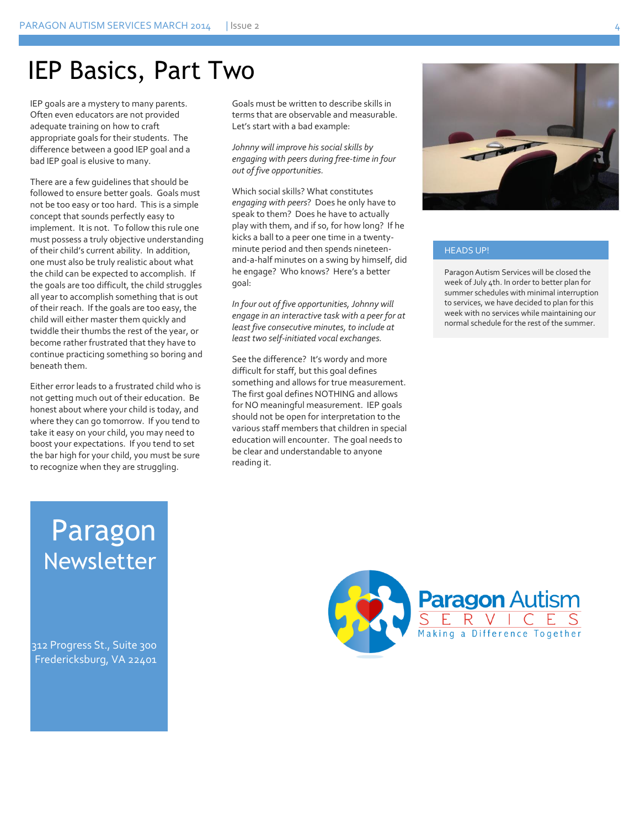### IEP Basics, Part Two

IEP goals are a mystery to many parents. Often even educators are not provided adequate training on how to craft appropriate goals for their students. The difference between a good IEP goal and a bad IEP goal is elusive to many.

There are a few guidelines that should be followed to ensure better goals. Goals must not be too easy or too hard. This is a simple concept that sounds perfectly easy to implement. It is not. To follow this rule one must possess a truly objective understanding of their child's current ability. In addition, one must also be truly realistic about what the child can be expected to accomplish. If the goals are too difficult, the child struggles all year to accomplish something that is out of their reach. If the goals are too easy, the child will either master them quickly and twiddle their thumbs the rest of the year, or become rather frustrated that they have to continue practicing something so boring and beneath them.

Either error leads to a frustrated child who is not getting much out of their education. Be honest about where your child is today, and where they can go tomorrow. If you tend to take it easy on your child, you may need to boost your expectations. If you tend to set the bar high for your child, you must be sure to recognize when they are struggling.

Goals must be written to describe skills in terms that are observable and measurable. Let's start with a bad example:

*Johnny will improve his social skills by engaging with peers during free-time in four out of five opportunities.* 

Which social skills? What constitutes *engaging with peers*? Does he only have to speak to them? Does he have to actually play with them, and if so, for how long? If he kicks a ball to a peer one time in a twentyminute period and then spends nineteenand-a-half minutes on a swing by himself, did he engage? Who knows? Here's a better goal:

*In four out of five opportunities, Johnny will engage in an interactive task with a peer for at least five consecutive minutes, to include at least two self-initiated vocal exchanges.*

See the difference? It's wordy and more difficult for staff, but this goal defines something and allows for true measurement. The first goal defines NOTHING and allows for NO meaningful measurement. IEP goals should not be open for interpretation to the various staff members that children in special education will encounter. The goal needs to be clear and understandable to anyone reading it.



#### HEADS UP!

Paragon Autism Services will be closed the week of July 4th. In order to better plan for summer schedules with minimal interruption to services, we have decided to plan for this week with no services while maintaining our normal schedule for the rest of the summer.

## Paragon Newsletter

312 Progress St., Suite 300 Fredericksburg, VA 22401